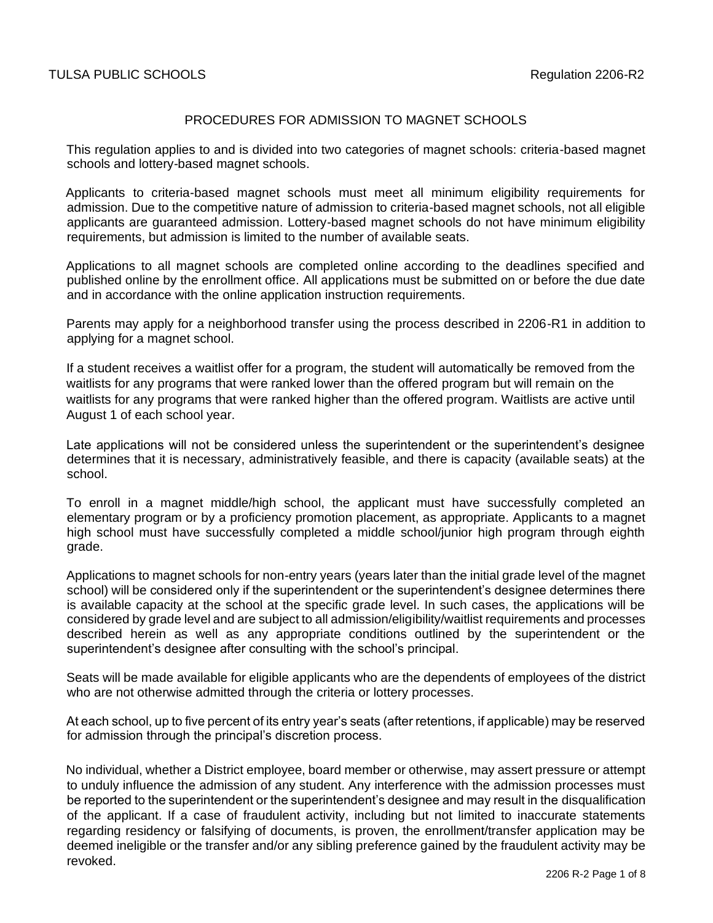# PROCEDURES FOR ADMISSION TO MAGNET SCHOOLS

This regulation applies to and is divided into two categories of magnet schools: criteria-based magnet schools and lottery-based magnet schools.

Applicants to criteria-based magnet schools must meet all minimum eligibility requirements for admission. Due to the competitive nature of admission to criteria-based magnet schools, not all eligible applicants are guaranteed admission. Lottery-based magnet schools do not have minimum eligibility requirements, but admission is limited to the number of available seats.

Applications to all magnet schools are completed online according to the deadlines specified and published online by the enrollment office. All applications must be submitted on or before the due date and in accordance with the online application instruction requirements.

Parents may apply for a neighborhood transfer using the process described in 2206-R1 in addition to applying for a magnet school.

If a student receives a waitlist offer for a program, the student will automatically be removed from the waitlists for any programs that were ranked lower than the offered program but will remain on the waitlists for any programs that were ranked higher than the offered program. Waitlists are active until August 1 of each school year.

Late applications will not be considered unless the superintendent or the superintendent's designee determines that it is necessary, administratively feasible, and there is capacity (available seats) at the school.

To enroll in a magnet middle/high school, the applicant must have successfully completed an elementary program or by a proficiency promotion placement, as appropriate. Applicants to a magnet high school must have successfully completed a middle school/junior high program through eighth grade.

Applications to magnet schools for non-entry years (years later than the initial grade level of the magnet school) will be considered only if the superintendent or the superintendent's designee determines there is available capacity at the school at the specific grade level. In such cases, the applications will be considered by grade level and are subject to all admission/eligibility/waitlist requirements and processes described herein as well as any appropriate conditions outlined by the superintendent or the superintendent's designee after consulting with the school's principal.

Seats will be made available for eligible applicants who are the dependents of employees of the district who are not otherwise admitted through the criteria or lottery processes.

At each school, up to five percent of its entry year's seats (after retentions, if applicable) may be reserved for admission through the principal's discretion process.

No individual, whether a District employee, board member or otherwise, may assert pressure or attempt to unduly influence the admission of any student. Any interference with the admission processes must be reported to the superintendent or the superintendent's designee and may result in the disqualification of the applicant. If a case of fraudulent activity, including but not limited to inaccurate statements regarding residency or falsifying of documents, is proven, the enrollment/transfer application may be deemed ineligible or the transfer and/or any sibling preference gained by the fraudulent activity may be revoked.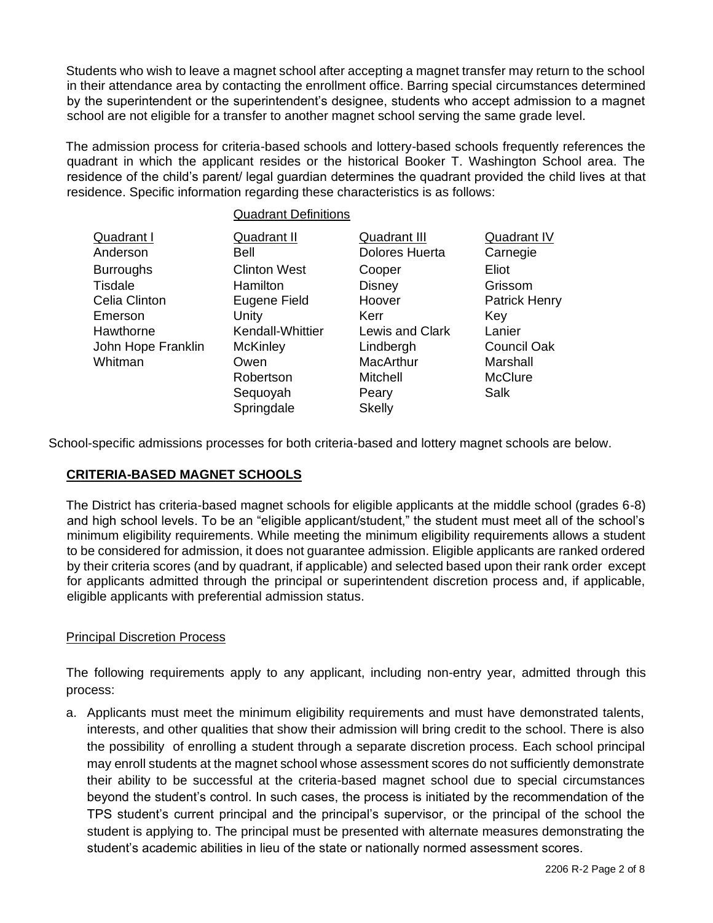Students who wish to leave a magnet school after accepting a magnet transfer may return to the school in their attendance area by contacting the enrollment office. Barring special circumstances determined by the superintendent or the superintendent's designee, students who accept admission to a magnet school are not eligible for a transfer to another magnet school serving the same grade level.

The admission process for criteria-based schools and lottery-based schools frequently references the quadrant in which the applicant resides or the historical Booker T. Washington School area. The residence of the child's parent/ legal guardian determines the quadrant provided the child lives at that residence. Specific information regarding these characteristics is as follows:

|                    | <b>Quadrant Definitions</b> |                       |                      |
|--------------------|-----------------------------|-----------------------|----------------------|
| <b>Quadrant I</b>  | <b>Quadrant II</b>          | <b>Quadrant III</b>   | Quadrant IV          |
| Anderson           | Bell                        | <b>Dolores Huerta</b> | Carnegie             |
| <b>Burroughs</b>   | <b>Clinton West</b>         | Cooper                | Eliot                |
| Tisdale            | <b>Hamilton</b>             | <b>Disney</b>         | Grissom              |
| Celia Clinton      | Eugene Field                | Hoover                | <b>Patrick Henry</b> |
| Emerson            | Unity                       | Kerr                  | Key                  |
| Hawthorne          | Kendall-Whittier            | Lewis and Clark       | Lanier               |
| John Hope Franklin | <b>McKinley</b>             | Lindbergh             | Council Oak          |
| Whitman            | Owen                        | MacArthur             | Marshall             |
|                    | Robertson                   | Mitchell              | <b>McClure</b>       |
|                    | Sequoyah                    | Peary                 | Salk                 |
|                    | Springdale                  | <b>Skelly</b>         |                      |

School-specific admissions processes for both criteria-based and lottery magnet schools are below.

# **CRITERIA-BASED MAGNET SCHOOLS**

The District has criteria-based magnet schools for eligible applicants at the middle school (grades 6-8) and high school levels. To be an "eligible applicant/student," the student must meet all of the school's minimum eligibility requirements. While meeting the minimum eligibility requirements allows a student to be considered for admission, it does not guarantee admission. Eligible applicants are ranked ordered by their criteria scores (and by quadrant, if applicable) and selected based upon their rank order except for applicants admitted through the principal or superintendent discretion process and, if applicable, eligible applicants with preferential admission status.

# Principal Discretion Process

The following requirements apply to any applicant, including non-entry year, admitted through this process:

a. Applicants must meet the minimum eligibility requirements and must have demonstrated talents, interests, and other qualities that show their admission will bring credit to the school. There is also the possibility of enrolling a student through a separate discretion process. Each school principal may enroll students at the magnet school whose assessment scores do not sufficiently demonstrate their ability to be successful at the criteria-based magnet school due to special circumstances beyond the student's control. In such cases, the process is initiated by the recommendation of the TPS student's current principal and the principal's supervisor, or the principal of the school the student is applying to. The principal must be presented with alternate measures demonstrating the student's academic abilities in lieu of the state or nationally normed assessment scores.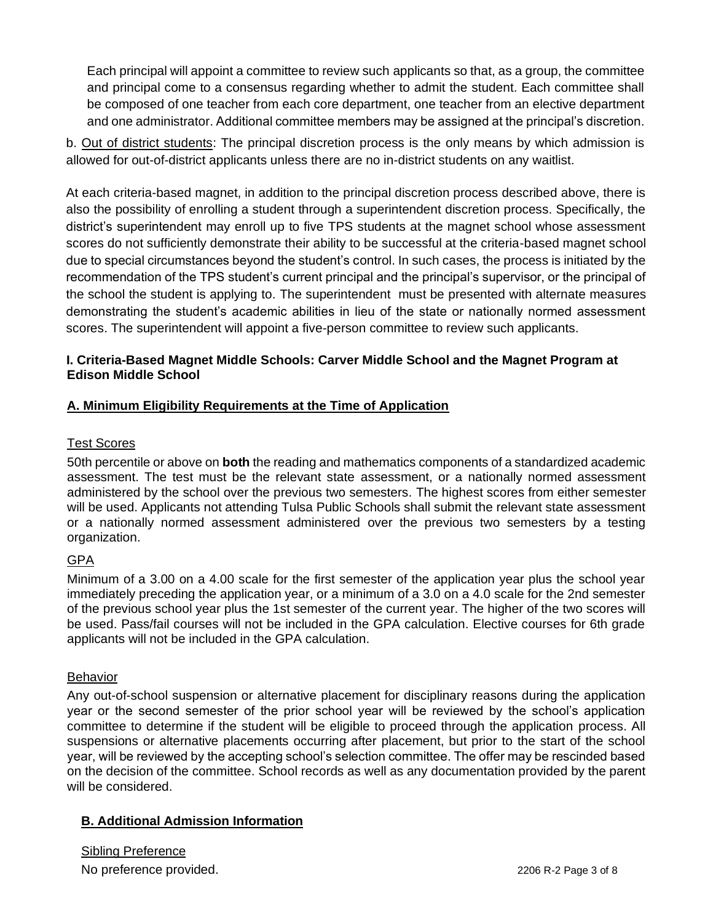Each principal will appoint a committee to review such applicants so that, as a group, the committee and principal come to a consensus regarding whether to admit the student. Each committee shall be composed of one teacher from each core department, one teacher from an elective department and one administrator. Additional committee members may be assigned at the principal's discretion.

b. Out of district students: The principal discretion process is the only means by which admission is allowed for out-of-district applicants unless there are no in-district students on any waitlist.

At each criteria-based magnet, in addition to the principal discretion process described above, there is also the possibility of enrolling a student through a superintendent discretion process. Specifically, the district's superintendent may enroll up to five TPS students at the magnet school whose assessment scores do not sufficiently demonstrate their ability to be successful at the criteria-based magnet school due to special circumstances beyond the student's control. In such cases, the process is initiated by the recommendation of the TPS student's current principal and the principal's supervisor, or the principal of the school the student is applying to. The superintendent must be presented with alternate measures demonstrating the student's academic abilities in lieu of the state or nationally normed assessment scores. The superintendent will appoint a five-person committee to review such applicants.

# **I. Criteria-Based Magnet Middle Schools: Carver Middle School and the Magnet Program at Edison Middle School**

# **A. Minimum Eligibility Requirements at the Time of Application**

### Test Scores

50th percentile or above on **both** the reading and mathematics components of a standardized academic assessment. The test must be the relevant state assessment, or a nationally normed assessment administered by the school over the previous two semesters. The highest scores from either semester will be used. Applicants not attending Tulsa Public Schools shall submit the relevant state assessment or a nationally normed assessment administered over the previous two semesters by a testing organization.

# GPA

Minimum of a 3.00 on a 4.00 scale for the first semester of the application year plus the school year immediately preceding the application year, or a minimum of a 3.0 on a 4.0 scale for the 2nd semester of the previous school year plus the 1st semester of the current year. The higher of the two scores will be used. Pass/fail courses will not be included in the GPA calculation. Elective courses for 6th grade applicants will not be included in the GPA calculation.

# **Behavior**

Any out-of-school suspension or alternative placement for disciplinary reasons during the application year or the second semester of the prior school year will be reviewed by the school's application committee to determine if the student will be eligible to proceed through the application process. All suspensions or alternative placements occurring after placement, but prior to the start of the school year, will be reviewed by the accepting school's selection committee. The offer may be rescinded based on the decision of the committee. School records as well as any documentation provided by the parent will be considered.

# **B. Additional Admission Information**

Sibling Preference No preference provided. Notice and the set of 8 and 2206 R-2 Page 3 of 8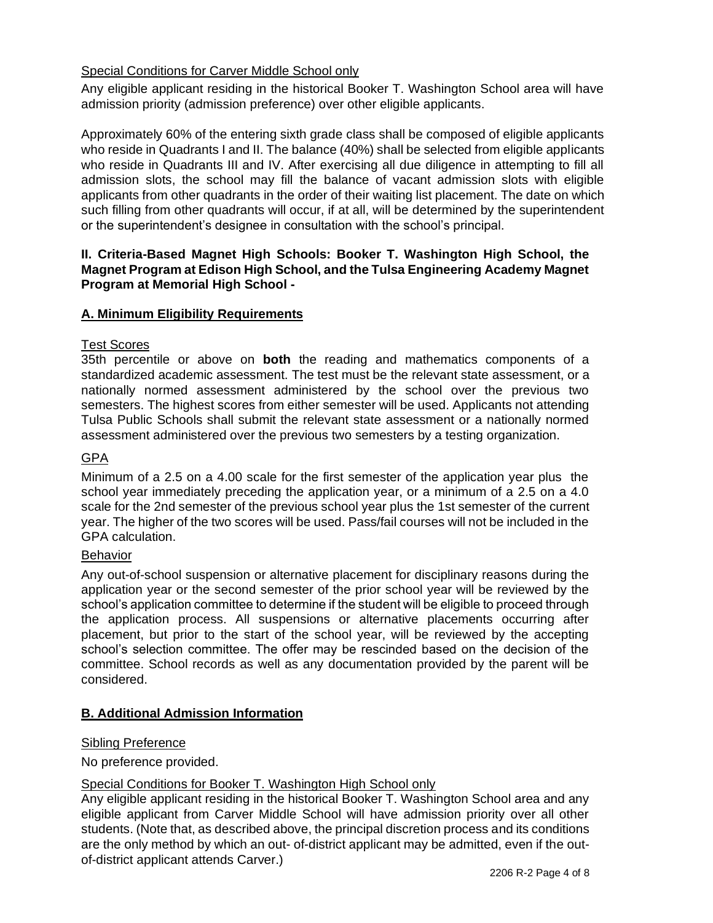# Special Conditions for Carver Middle School only

Any eligible applicant residing in the historical Booker T. Washington School area will have admission priority (admission preference) over other eligible applicants.

Approximately 60% of the entering sixth grade class shall be composed of eligible applicants who reside in Quadrants I and II. The balance (40%) shall be selected from eligible applicants who reside in Quadrants III and IV. After exercising all due diligence in attempting to fill all admission slots, the school may fill the balance of vacant admission slots with eligible applicants from other quadrants in the order of their waiting list placement. The date on which such filling from other quadrants will occur, if at all, will be determined by the superintendent or the superintendent's designee in consultation with the school's principal.

# **II. Criteria-Based Magnet High Schools: Booker T. Washington High School, the Magnet Program at Edison High School, and the Tulsa Engineering Academy Magnet Program at Memorial High School -**

# **A. Minimum Eligibility Requirements**

### Test Scores

35th percentile or above on **both** the reading and mathematics components of a standardized academic assessment. The test must be the relevant state assessment, or a nationally normed assessment administered by the school over the previous two semesters. The highest scores from either semester will be used. Applicants not attending Tulsa Public Schools shall submit the relevant state assessment or a nationally normed assessment administered over the previous two semesters by a testing organization.

### GPA

Minimum of a 2.5 on a 4.00 scale for the first semester of the application year plus the school year immediately preceding the application year, or a minimum of a 2.5 on a 4.0 scale for the 2nd semester of the previous school year plus the 1st semester of the current year. The higher of the two scores will be used. Pass/fail courses will not be included in the GPA calculation.

#### Behavior

Any out-of-school suspension or alternative placement for disciplinary reasons during the application year or the second semester of the prior school year will be reviewed by the school's application committee to determine if the student will be eligible to proceed through the application process. All suspensions or alternative placements occurring after placement, but prior to the start of the school year, will be reviewed by the accepting school's selection committee. The offer may be rescinded based on the decision of the committee. School records as well as any documentation provided by the parent will be considered.

# **B. Additional Admission Information**

# Sibling Preference

No preference provided.

# Special Conditions for Booker T. Washington High School only

Any eligible applicant residing in the historical Booker T. Washington School area and any eligible applicant from Carver Middle School will have admission priority over all other students. (Note that, as described above, the principal discretion process and its conditions are the only method by which an out- of-district applicant may be admitted, even if the outof-district applicant attends Carver.)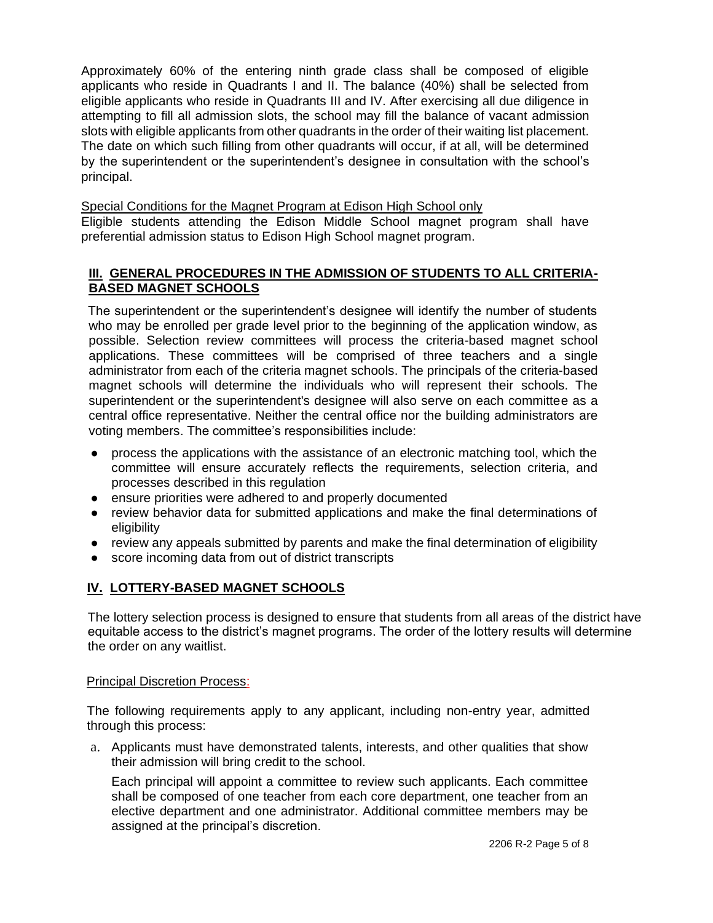Approximately 60% of the entering ninth grade class shall be composed of eligible applicants who reside in Quadrants I and II. The balance (40%) shall be selected from eligible applicants who reside in Quadrants III and IV. After exercising all due diligence in attempting to fill all admission slots, the school may fill the balance of vacant admission slots with eligible applicants from other quadrants in the order of their waiting list placement. The date on which such filling from other quadrants will occur, if at all, will be determined by the superintendent or the superintendent's designee in consultation with the school's principal.

Special Conditions for the Magnet Program at Edison High School only

Eligible students attending the Edison Middle School magnet program shall have preferential admission status to Edison High School magnet program.

# **III. GENERAL PROCEDURES IN THE ADMISSION OF STUDENTS TO ALL CRITERIA-BASED MAGNET SCHOOLS**

The superintendent or the superintendent's designee will identify the number of students who may be enrolled per grade level prior to the beginning of the application window, as possible. Selection review committees will process the criteria-based magnet school applications. These committees will be comprised of three teachers and a single administrator from each of the criteria magnet schools. The principals of the criteria-based magnet schools will determine the individuals who will represent their schools. The superintendent or the superintendent's designee will also serve on each committee as a central office representative. Neither the central office nor the building administrators are voting members. The committee's responsibilities include:

- process the applications with the assistance of an electronic matching tool, which the committee will ensure accurately reflects the requirements, selection criteria, and processes described in this regulation
- ensure priorities were adhered to and properly documented
- review behavior data for submitted applications and make the final determinations of eligibility
- review any appeals submitted by parents and make the final determination of eligibility
- score incoming data from out of district transcripts

# **IV. LOTTERY-BASED MAGNET SCHOOLS**

The lottery selection process is designed to ensure that students from all areas of the district have equitable access to the district's magnet programs. The order of the lottery results will determine the order on any waitlist.

#### Principal Discretion Process:

The following requirements apply to any applicant, including non-entry year, admitted through this process:

a. Applicants must have demonstrated talents, interests, and other qualities that show their admission will bring credit to the school.

Each principal will appoint a committee to review such applicants. Each committee shall be composed of one teacher from each core department, one teacher from an elective department and one administrator. Additional committee members may be assigned at the principal's discretion.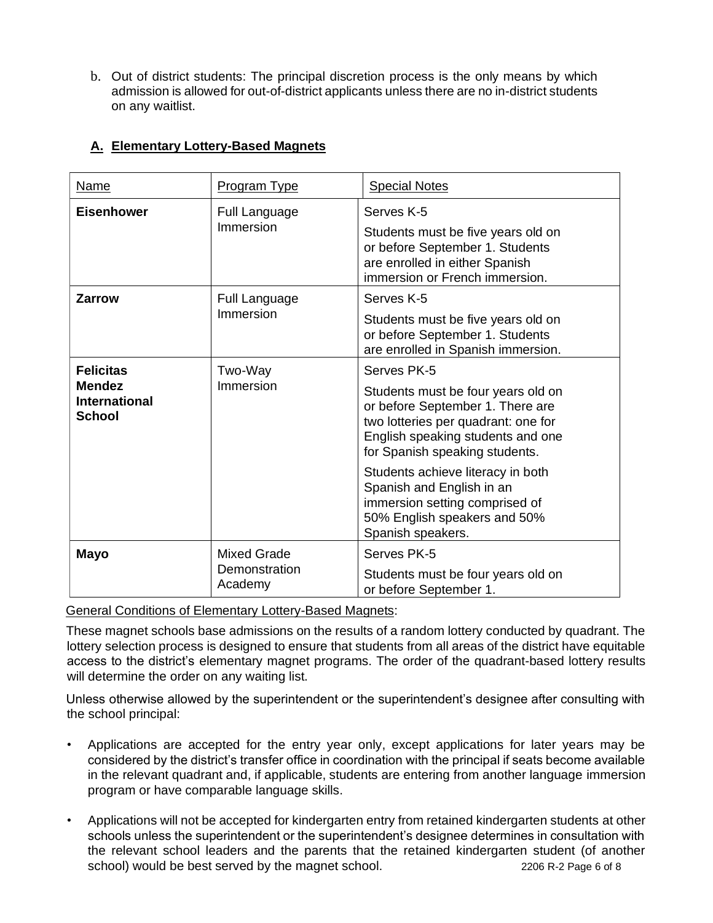b. Out of district students: The principal discretion process is the only means by which admission is allowed for out-of-district applicants unless there are no in-district students on any waitlist.

| Name                                                                | Program Type                                   | <b>Special Notes</b>                                                                                                                                                                                                                                                                                                                                         |
|---------------------------------------------------------------------|------------------------------------------------|--------------------------------------------------------------------------------------------------------------------------------------------------------------------------------------------------------------------------------------------------------------------------------------------------------------------------------------------------------------|
| <b>Eisenhower</b>                                                   | <b>Full Language</b><br>Immersion              | Serves K-5<br>Students must be five years old on<br>or before September 1. Students<br>are enrolled in either Spanish<br>immersion or French immersion.                                                                                                                                                                                                      |
| <b>Zarrow</b>                                                       | <b>Full Language</b><br>Immersion              | Serves K-5<br>Students must be five years old on<br>or before September 1. Students<br>are enrolled in Spanish immersion.                                                                                                                                                                                                                                    |
| <b>Felicitas</b><br><b>Mendez</b><br><b>International</b><br>School | Two-Way<br>Immersion                           | Serves PK-5<br>Students must be four years old on<br>or before September 1. There are<br>two lotteries per quadrant: one for<br>English speaking students and one<br>for Spanish speaking students.<br>Students achieve literacy in both<br>Spanish and English in an<br>immersion setting comprised of<br>50% English speakers and 50%<br>Spanish speakers. |
| <b>Mayo</b>                                                         | <b>Mixed Grade</b><br>Demonstration<br>Academy | Serves PK-5<br>Students must be four years old on<br>or before September 1.                                                                                                                                                                                                                                                                                  |

# **A. Elementary Lottery-Based Magnets**

General Conditions of Elementary Lottery-Based Magnets:

These magnet schools base admissions on the results of a random lottery conducted by quadrant. The lottery selection process is designed to ensure that students from all areas of the district have equitable access to the district's elementary magnet programs. The order of the quadrant-based lottery results will determine the order on any waiting list.

Unless otherwise allowed by the superintendent or the superintendent's designee after consulting with the school principal:

- Applications are accepted for the entry year only, except applications for later years may be considered by the district's transfer office in coordination with the principal if seats become available in the relevant quadrant and, if applicable, students are entering from another language immersion program or have comparable language skills.
- Applications will not be accepted for kindergarten entry from retained kindergarten students at other schools unless the superintendent or the superintendent's designee determines in consultation with the relevant school leaders and the parents that the retained kindergarten student (of another school) would be best served by the magnet school. 2206 R-2 Page 6 of 8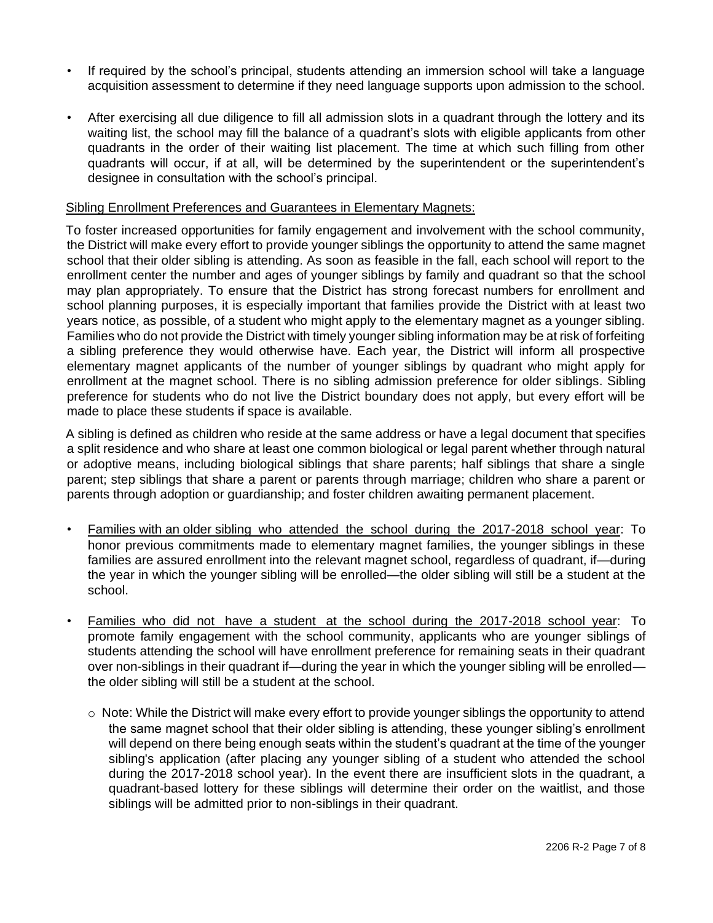- If required by the school's principal, students attending an immersion school will take a language acquisition assessment to determine if they need language supports upon admission to the school.
- After exercising all due diligence to fill all admission slots in a quadrant through the lottery and its waiting list, the school may fill the balance of a quadrant's slots with eligible applicants from other quadrants in the order of their waiting list placement. The time at which such filling from other quadrants will occur, if at all, will be determined by the superintendent or the superintendent's designee in consultation with the school's principal.

#### Sibling Enrollment Preferences and Guarantees in Elementary Magnets:

To foster increased opportunities for family engagement and involvement with the school community, the District will make every effort to provide younger siblings the opportunity to attend the same magnet school that their older sibling is attending. As soon as feasible in the fall, each school will report to the enrollment center the number and ages of younger siblings by family and quadrant so that the school may plan appropriately. To ensure that the District has strong forecast numbers for enrollment and school planning purposes, it is especially important that families provide the District with at least two years notice, as possible, of a student who might apply to the elementary magnet as a younger sibling. Families who do not provide the District with timely younger sibling information may be at risk of forfeiting a sibling preference they would otherwise have. Each year, the District will inform all prospective elementary magnet applicants of the number of younger siblings by quadrant who might apply for enrollment at the magnet school. There is no sibling admission preference for older siblings. Sibling preference for students who do not live the District boundary does not apply, but every effort will be made to place these students if space is available.

A sibling is defined as children who reside at the same address or have a legal document that specifies a split residence and who share at least one common biological or legal parent whether through natural or adoptive means, including biological siblings that share parents; half siblings that share a single parent; step siblings that share a parent or parents through marriage; children who share a parent or parents through adoption or guardianship; and foster children awaiting permanent placement.

- Families with an older sibling who attended the school during the 2017-2018 school year: To honor previous commitments made to elementary magnet families, the younger siblings in these families are assured enrollment into the relevant magnet school, regardless of quadrant, if—during the year in which the younger sibling will be enrolled—the older sibling will still be a student at the school.
- Families who did not have a student at the school during the 2017-2018 school year: To promote family engagement with the school community, applicants who are younger siblings of students attending the school will have enrollment preference for remaining seats in their quadrant over non-siblings in their quadrant if—during the year in which the younger sibling will be enrolled the older sibling will still be a student at the school.
	- $\circ$  Note: While the District will make every effort to provide younger siblings the opportunity to attend the same magnet school that their older sibling is attending, these younger sibling's enrollment will depend on there being enough seats within the student's quadrant at the time of the younger sibling's application (after placing any younger sibling of a student who attended the school during the 2017-2018 school year). In the event there are insufficient slots in the quadrant, a quadrant-based lottery for these siblings will determine their order on the waitlist, and those siblings will be admitted prior to non-siblings in their quadrant.